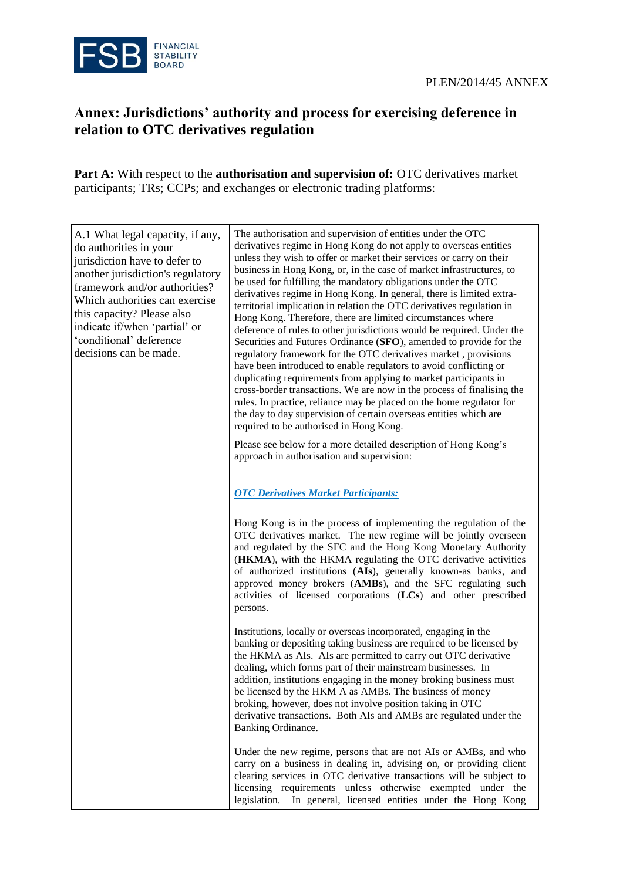

# **Annex: Jurisdictions' authority and process for exercising deference in relation to OTC derivatives regulation**

**Part A:** With respect to the **authorisation and supervision of:** OTC derivatives market participants; TRs; CCPs; and exchanges or electronic trading platforms:

| A.1 What legal capacity, if any,<br>do authorities in your<br>jurisdiction have to defer to<br>another jurisdiction's regulatory<br>framework and/or authorities?<br>Which authorities can exercise<br>this capacity? Please also<br>indicate if/when 'partial' or<br>'conditional' deference<br>decisions can be made. | The authorisation and supervision of entities under the OTC<br>derivatives regime in Hong Kong do not apply to overseas entities<br>unless they wish to offer or market their services or carry on their<br>business in Hong Kong, or, in the case of market infrastructures, to<br>be used for fulfilling the mandatory obligations under the OTC<br>derivatives regime in Hong Kong. In general, there is limited extra-<br>territorial implication in relation the OTC derivatives regulation in<br>Hong Kong. Therefore, there are limited circumstances where<br>deference of rules to other jurisdictions would be required. Under the<br>Securities and Futures Ordinance (SFO), amended to provide for the<br>regulatory framework for the OTC derivatives market, provisions<br>have been introduced to enable regulators to avoid conflicting or<br>duplicating requirements from applying to market participants in<br>cross-border transactions. We are now in the process of finalising the<br>rules. In practice, reliance may be placed on the home regulator for<br>the day to day supervision of certain overseas entities which are<br>required to be authorised in Hong Kong. |
|-------------------------------------------------------------------------------------------------------------------------------------------------------------------------------------------------------------------------------------------------------------------------------------------------------------------------|--------------------------------------------------------------------------------------------------------------------------------------------------------------------------------------------------------------------------------------------------------------------------------------------------------------------------------------------------------------------------------------------------------------------------------------------------------------------------------------------------------------------------------------------------------------------------------------------------------------------------------------------------------------------------------------------------------------------------------------------------------------------------------------------------------------------------------------------------------------------------------------------------------------------------------------------------------------------------------------------------------------------------------------------------------------------------------------------------------------------------------------------------------------------------------------------------|
|                                                                                                                                                                                                                                                                                                                         | Please see below for a more detailed description of Hong Kong's<br>approach in authorisation and supervision:                                                                                                                                                                                                                                                                                                                                                                                                                                                                                                                                                                                                                                                                                                                                                                                                                                                                                                                                                                                                                                                                                    |
|                                                                                                                                                                                                                                                                                                                         | <b>OTC Derivatives Market Participants:</b>                                                                                                                                                                                                                                                                                                                                                                                                                                                                                                                                                                                                                                                                                                                                                                                                                                                                                                                                                                                                                                                                                                                                                      |
|                                                                                                                                                                                                                                                                                                                         | Hong Kong is in the process of implementing the regulation of the<br>OTC derivatives market. The new regime will be jointly overseen<br>and regulated by the SFC and the Hong Kong Monetary Authority<br>(HKMA), with the HKMA regulating the OTC derivative activities<br>of authorized institutions (AIs), generally known-as banks, and<br>approved money brokers (AMBs), and the SFC regulating such<br>activities of licensed corporations (LCs) and other prescribed<br>persons.                                                                                                                                                                                                                                                                                                                                                                                                                                                                                                                                                                                                                                                                                                           |
|                                                                                                                                                                                                                                                                                                                         | Institutions, locally or overseas incorporated, engaging in the<br>banking or depositing taking business are required to be licensed by<br>the HKMA as AIs. AIs are permitted to carry out OTC derivative<br>dealing, which forms part of their mainstream businesses. In<br>addition, institutions engaging in the money broking business must<br>be licensed by the HKM A as AMBs. The business of money<br>broking, however, does not involve position taking in OTC<br>derivative transactions. Both AIs and AMBs are regulated under the<br>Banking Ordinance.                                                                                                                                                                                                                                                                                                                                                                                                                                                                                                                                                                                                                              |
|                                                                                                                                                                                                                                                                                                                         | Under the new regime, persons that are not AIs or AMBs, and who<br>carry on a business in dealing in, advising on, or providing client<br>clearing services in OTC derivative transactions will be subject to<br>licensing requirements unless otherwise exempted under the<br>legislation. In general, licensed entities under the Hong Kong                                                                                                                                                                                                                                                                                                                                                                                                                                                                                                                                                                                                                                                                                                                                                                                                                                                    |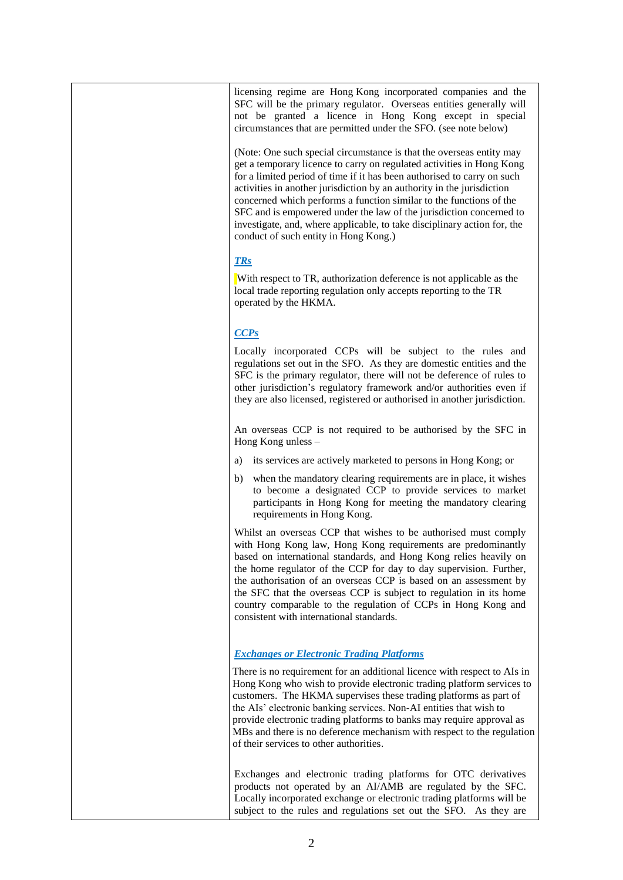licensing regime are Hong Kong incorporated companies and the SFC will be the primary regulator. Overseas entities generally will not be granted a licence in Hong Kong except in special circumstances that are permitted under the SFO. (see note below)

(Note: One such special circumstance is that the overseas entity may get a temporary licence to carry on regulated activities in Hong Kong for a limited period of time if it has been authorised to carry on such activities in another jurisdiction by an authority in the jurisdiction concerned which performs a function similar to the functions of the SFC and is empowered under the law of the jurisdiction concerned to investigate, and, where applicable, to take disciplinary action for, the conduct of such entity in Hong Kong.)

## *TRs*

With respect to TR, authorization deference is not applicable as the local trade reporting regulation only accepts reporting to the TR operated by the HKMA.

### *CCPs*

Locally incorporated CCPs will be subject to the rules and regulations set out in the SFO. As they are domestic entities and the SFC is the primary regulator, there will not be deference of rules to other jurisdiction's regulatory framework and/or authorities even if they are also licensed, registered or authorised in another jurisdiction.

An overseas CCP is not required to be authorised by the SFC in Hong Kong unless –

- a) its services are actively marketed to persons in Hong Kong; or
- b) when the mandatory clearing requirements are in place, it wishes to become a designated CCP to provide services to market participants in Hong Kong for meeting the mandatory clearing requirements in Hong Kong.

Whilst an overseas CCP that wishes to be authorised must comply with Hong Kong law, Hong Kong requirements are predominantly based on international standards, and Hong Kong relies heavily on the home regulator of the CCP for day to day supervision. Further, the authorisation of an overseas CCP is based on an assessment by the SFC that the overseas CCP is subject to regulation in its home country comparable to the regulation of CCPs in Hong Kong and consistent with international standards.

## *Exchanges or Electronic Trading Platforms*

There is no requirement for an additional licence with respect to AIs in Hong Kong who wish to provide electronic trading platform services to customers. The HKMA supervises these trading platforms as part of the AIs' electronic banking services. Non-AI entities that wish to provide electronic trading platforms to banks may require approval as MBs and there is no deference mechanism with respect to the regulation of their services to other authorities.

Exchanges and electronic trading platforms for OTC derivatives products not operated by an AI/AMB are regulated by the SFC. Locally incorporated exchange or electronic trading platforms will be subject to the rules and regulations set out the SFO. As they are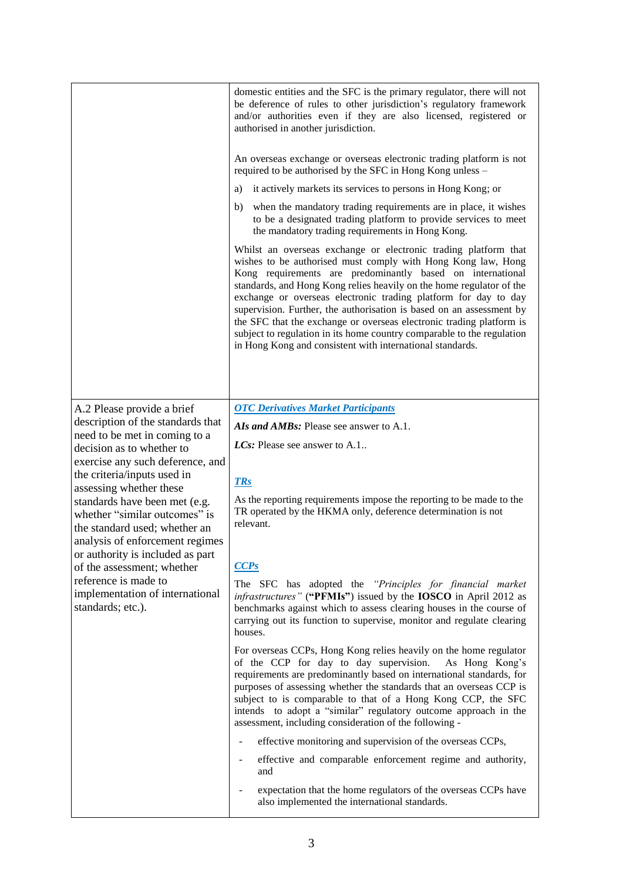|                                                                                                                                    | domestic entities and the SFC is the primary regulator, there will not<br>be deference of rules to other jurisdiction's regulatory framework<br>and/or authorities even if they are also licensed, registered or<br>authorised in another jurisdiction.                                                                                                                                                                                                                                                                                                                                                                         |
|------------------------------------------------------------------------------------------------------------------------------------|---------------------------------------------------------------------------------------------------------------------------------------------------------------------------------------------------------------------------------------------------------------------------------------------------------------------------------------------------------------------------------------------------------------------------------------------------------------------------------------------------------------------------------------------------------------------------------------------------------------------------------|
|                                                                                                                                    | An overseas exchange or overseas electronic trading platform is not<br>required to be authorised by the SFC in Hong Kong unless -                                                                                                                                                                                                                                                                                                                                                                                                                                                                                               |
|                                                                                                                                    | it actively markets its services to persons in Hong Kong; or<br>a)                                                                                                                                                                                                                                                                                                                                                                                                                                                                                                                                                              |
|                                                                                                                                    | when the mandatory trading requirements are in place, it wishes<br>b)<br>to be a designated trading platform to provide services to meet<br>the mandatory trading requirements in Hong Kong.                                                                                                                                                                                                                                                                                                                                                                                                                                    |
|                                                                                                                                    | Whilst an overseas exchange or electronic trading platform that<br>wishes to be authorised must comply with Hong Kong law, Hong<br>Kong requirements are predominantly based on international<br>standards, and Hong Kong relies heavily on the home regulator of the<br>exchange or overseas electronic trading platform for day to day<br>supervision. Further, the authorisation is based on an assessment by<br>the SFC that the exchange or overseas electronic trading platform is<br>subject to regulation in its home country comparable to the regulation<br>in Hong Kong and consistent with international standards. |
|                                                                                                                                    | <b>OTC Derivatives Market Participants</b>                                                                                                                                                                                                                                                                                                                                                                                                                                                                                                                                                                                      |
| A.2 Please provide a brief<br>description of the standards that                                                                    | AIs and AMBs: Please see answer to A.1.                                                                                                                                                                                                                                                                                                                                                                                                                                                                                                                                                                                         |
| need to be met in coming to a                                                                                                      | LCs: Please see answer to A.1                                                                                                                                                                                                                                                                                                                                                                                                                                                                                                                                                                                                   |
| decision as to whether to<br>exercise any such deference, and                                                                      |                                                                                                                                                                                                                                                                                                                                                                                                                                                                                                                                                                                                                                 |
| the criteria/inputs used in                                                                                                        |                                                                                                                                                                                                                                                                                                                                                                                                                                                                                                                                                                                                                                 |
| assessing whether these                                                                                                            | <b>TRs</b>                                                                                                                                                                                                                                                                                                                                                                                                                                                                                                                                                                                                                      |
| standards have been met (e.g.<br>whether "similar outcomes" is<br>the standard used; whether an<br>analysis of enforcement regimes | As the reporting requirements impose the reporting to be made to the<br>TR operated by the HKMA only, deference determination is not<br>relevant.                                                                                                                                                                                                                                                                                                                                                                                                                                                                               |
| or authority is included as part<br>of the assessment; whether                                                                     | CCPs                                                                                                                                                                                                                                                                                                                                                                                                                                                                                                                                                                                                                            |
| reference is made to<br>implementation of international<br>standards; etc.).                                                       | The SFC has adopted the "Principles for financial market<br>infrastructures" ("PFMIs") issued by the IOSCO in April 2012 as<br>benchmarks against which to assess clearing houses in the course of<br>carrying out its function to supervise, monitor and regulate clearing<br>houses.                                                                                                                                                                                                                                                                                                                                          |
|                                                                                                                                    | For overseas CCPs, Hong Kong relies heavily on the home regulator<br>of the CCP for day to day supervision.<br>As Hong Kong's<br>requirements are predominantly based on international standards, for<br>purposes of assessing whether the standards that an overseas CCP is<br>subject to is comparable to that of a Hong Kong CCP, the SFC<br>intends to adopt a "similar" regulatory outcome approach in the<br>assessment, including consideration of the following -                                                                                                                                                       |
|                                                                                                                                    | effective monitoring and supervision of the overseas CCPs,<br>÷,                                                                                                                                                                                                                                                                                                                                                                                                                                                                                                                                                                |
|                                                                                                                                    | effective and comparable enforcement regime and authority,<br>and                                                                                                                                                                                                                                                                                                                                                                                                                                                                                                                                                               |
|                                                                                                                                    | expectation that the home regulators of the overseas CCPs have<br>also implemented the international standards.                                                                                                                                                                                                                                                                                                                                                                                                                                                                                                                 |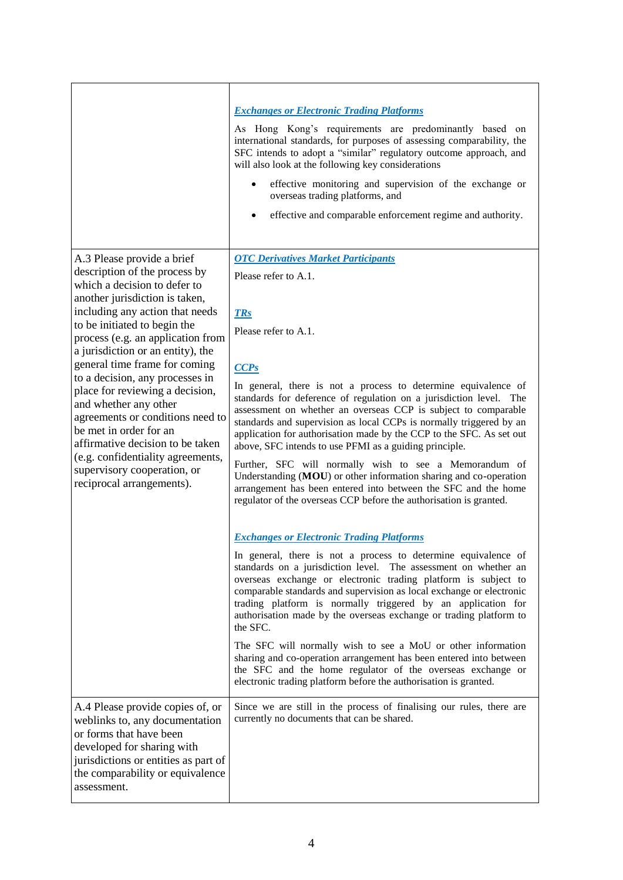|                                                                                                                                                                                                                                                                                                                                                                                                                                                                                                                                                                                                               | <b>Exchanges or Electronic Trading Platforms</b><br>As Hong Kong's requirements are predominantly based on<br>international standards, for purposes of assessing comparability, the<br>SFC intends to adopt a "similar" regulatory outcome approach, and<br>will also look at the following key considerations<br>effective monitoring and supervision of the exchange or<br>overseas trading platforms, and<br>effective and comparable enforcement regime and authority.                                                                                                                                                                                                                                                                                                                                                                                                                                                                                                                                                                                                                                                                                                                                                                                                                                                                                                                                                                                                                                                                                              |
|---------------------------------------------------------------------------------------------------------------------------------------------------------------------------------------------------------------------------------------------------------------------------------------------------------------------------------------------------------------------------------------------------------------------------------------------------------------------------------------------------------------------------------------------------------------------------------------------------------------|-------------------------------------------------------------------------------------------------------------------------------------------------------------------------------------------------------------------------------------------------------------------------------------------------------------------------------------------------------------------------------------------------------------------------------------------------------------------------------------------------------------------------------------------------------------------------------------------------------------------------------------------------------------------------------------------------------------------------------------------------------------------------------------------------------------------------------------------------------------------------------------------------------------------------------------------------------------------------------------------------------------------------------------------------------------------------------------------------------------------------------------------------------------------------------------------------------------------------------------------------------------------------------------------------------------------------------------------------------------------------------------------------------------------------------------------------------------------------------------------------------------------------------------------------------------------------|
| A.3 Please provide a brief<br>description of the process by<br>which a decision to defer to<br>another jurisdiction is taken,<br>including any action that needs<br>to be initiated to begin the<br>process (e.g. an application from<br>a jurisdiction or an entity), the<br>general time frame for coming<br>to a decision, any processes in<br>place for reviewing a decision,<br>and whether any other<br>agreements or conditions need to<br>be met in order for an<br>affirmative decision to be taken<br>(e.g. confidentiality agreements,<br>supervisory cooperation, or<br>reciprocal arrangements). | <b>OTC Derivatives Market Participants</b><br>Please refer to A.1.<br><b>TRs</b><br>Please refer to A.1.<br>CCPs<br>In general, there is not a process to determine equivalence of<br>standards for deference of regulation on a jurisdiction level. The<br>assessment on whether an overseas CCP is subject to comparable<br>standards and supervision as local CCPs is normally triggered by an<br>application for authorisation made by the CCP to the SFC. As set out<br>above, SFC intends to use PFMI as a guiding principle.<br>Further, SFC will normally wish to see a Memorandum of<br>Understanding (MOU) or other information sharing and co-operation<br>arrangement has been entered into between the SFC and the home<br>regulator of the overseas CCP before the authorisation is granted.<br><b>Exchanges or Electronic Trading Platforms</b><br>In general, there is not a process to determine equivalence of<br>standards on a jurisdiction level. The assessment on whether an<br>overseas exchange or electronic trading platform is subject to<br>comparable standards and supervision as local exchange or electronic<br>trading platform is normally triggered by an application for<br>authorisation made by the overseas exchange or trading platform to<br>the SFC.<br>The SFC will normally wish to see a MoU or other information<br>sharing and co-operation arrangement has been entered into between<br>the SFC and the home regulator of the overseas exchange or<br>electronic trading platform before the authorisation is granted. |
| A.4 Please provide copies of, or<br>weblinks to, any documentation<br>or forms that have been<br>developed for sharing with<br>jurisdictions or entities as part of<br>the comparability or equivalence<br>assessment.                                                                                                                                                                                                                                                                                                                                                                                        | Since we are still in the process of finalising our rules, there are<br>currently no documents that can be shared.                                                                                                                                                                                                                                                                                                                                                                                                                                                                                                                                                                                                                                                                                                                                                                                                                                                                                                                                                                                                                                                                                                                                                                                                                                                                                                                                                                                                                                                      |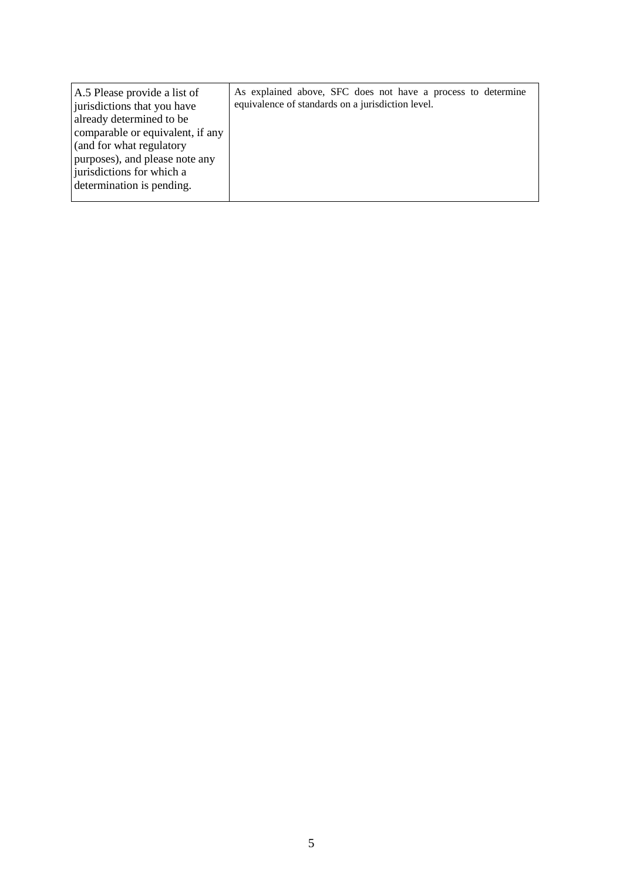| A.5 Please provide a list of<br>jurisdictions that you have<br>already determined to be<br>comparable or equivalent, if any<br>(and for what regulatory<br>purposes), and please note any<br>jurisdictions for which a<br>determination is pending. | As explained above, SFC does not have a process to determine<br>equivalence of standards on a jurisdiction level. |
|-----------------------------------------------------------------------------------------------------------------------------------------------------------------------------------------------------------------------------------------------------|-------------------------------------------------------------------------------------------------------------------|
|-----------------------------------------------------------------------------------------------------------------------------------------------------------------------------------------------------------------------------------------------------|-------------------------------------------------------------------------------------------------------------------|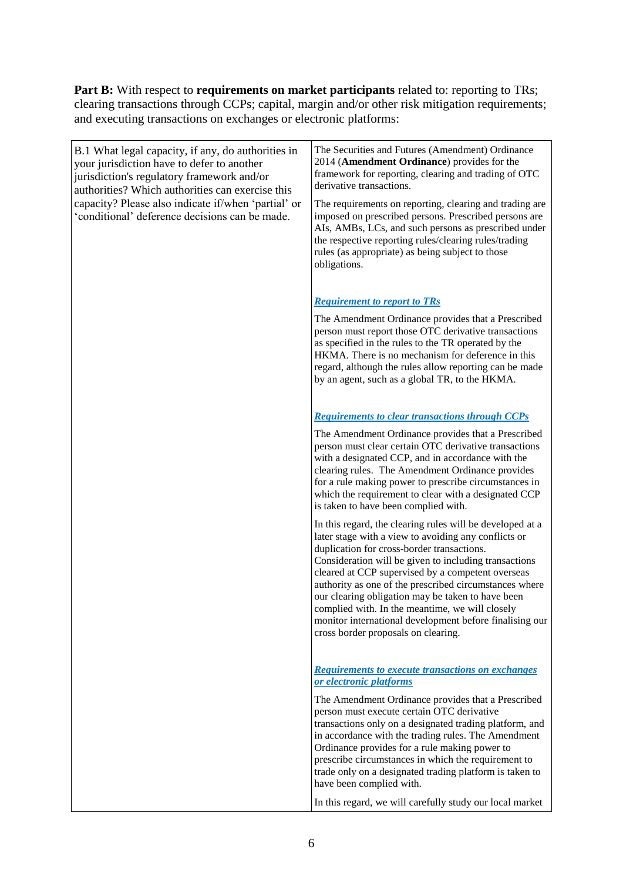**Part B:** With respect to **requirements on market participants** related to: reporting to TRs; clearing transactions through CCPs; capital, margin and/or other risk mitigation requirements; and executing transactions on exchanges or electronic platforms:

B.1 What legal capacity, if any, do authorities in your jurisdiction have to defer to another jurisdiction's regulatory framework and/or authorities? Which authorities can exercise this capacity? Please also indicate if/when 'partial' or 'conditional' deference decisions can be made. The Securities and Futures (Amendment) Ordinance 2014 (**Amendment Ordinance**) provides for the framework for reporting, clearing and trading of OTC derivative transactions. The requirements on reporting, clearing and trading are imposed on prescribed persons. Prescribed persons are AIs, AMBs, LCs, and such persons as prescribed under the respective reporting rules/clearing rules/trading rules (as appropriate) as being subject to those obligations. *Requirement to report to TRs* The Amendment Ordinance provides that a Prescribed person must report those OTC derivative transactions as specified in the rules to the TR operated by the HKMA. There is no mechanism for deference in this regard, although the rules allow reporting can be made by an agent, such as a global TR, to the HKMA. *Requirements to clear transactions through CCPs* The Amendment Ordinance provides that a Prescribed person must clear certain OTC derivative transactions with a designated CCP, and in accordance with the clearing rules. The Amendment Ordinance provides for a rule making power to prescribe circumstances in which the requirement to clear with a designated CCP is taken to have been complied with. In this regard, the clearing rules will be developed at a later stage with a view to avoiding any conflicts or duplication for cross-border transactions. Consideration will be given to including transactions cleared at CCP supervised by a competent overseas authority as one of the prescribed circumstances where our clearing obligation may be taken to have been complied with. In the meantime, we will closely monitor international development before finalising our cross border proposals on clearing.

### *Requirements to execute transactions on exchanges or electronic platforms*

The Amendment Ordinance provides that a Prescribed person must execute certain OTC derivative transactions only on a designated trading platform, and in accordance with the trading rules. The Amendment Ordinance provides for a rule making power to prescribe circumstances in which the requirement to trade only on a designated trading platform is taken to have been complied with.

In this regard, we will carefully study our local market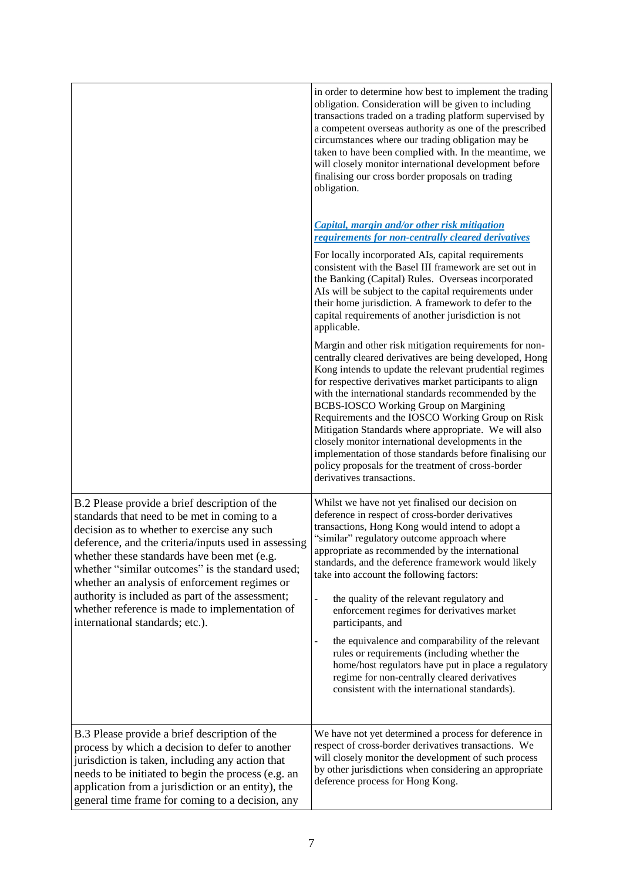|                                                                                                                                                                                                                                                                                                                                                                                                                                                                                                   | in order to determine how best to implement the trading<br>obligation. Consideration will be given to including<br>transactions traded on a trading platform supervised by<br>a competent overseas authority as one of the prescribed<br>circumstances where our trading obligation may be<br>taken to have been complied with. In the meantime, we<br>will closely monitor international development before<br>finalising our cross border proposals on trading<br>obligation.                                                                                                                                                                                                                                                            |
|---------------------------------------------------------------------------------------------------------------------------------------------------------------------------------------------------------------------------------------------------------------------------------------------------------------------------------------------------------------------------------------------------------------------------------------------------------------------------------------------------|--------------------------------------------------------------------------------------------------------------------------------------------------------------------------------------------------------------------------------------------------------------------------------------------------------------------------------------------------------------------------------------------------------------------------------------------------------------------------------------------------------------------------------------------------------------------------------------------------------------------------------------------------------------------------------------------------------------------------------------------|
|                                                                                                                                                                                                                                                                                                                                                                                                                                                                                                   | Capital, margin and/or other risk mitigation<br>requirements for non-centrally cleared derivatives<br>For locally incorporated AIs, capital requirements<br>consistent with the Basel III framework are set out in<br>the Banking (Capital) Rules. Overseas incorporated<br>AIs will be subject to the capital requirements under<br>their home jurisdiction. A framework to defer to the<br>capital requirements of another jurisdiction is not<br>applicable.                                                                                                                                                                                                                                                                            |
|                                                                                                                                                                                                                                                                                                                                                                                                                                                                                                   | Margin and other risk mitigation requirements for non-<br>centrally cleared derivatives are being developed, Hong<br>Kong intends to update the relevant prudential regimes<br>for respective derivatives market participants to align<br>with the international standards recommended by the<br><b>BCBS-IOSCO Working Group on Margining</b><br>Requirements and the IOSCO Working Group on Risk<br>Mitigation Standards where appropriate. We will also<br>closely monitor international developments in the<br>implementation of those standards before finalising our<br>policy proposals for the treatment of cross-border<br>derivatives transactions.                                                                               |
| B.2 Please provide a brief description of the<br>standards that need to be met in coming to a<br>decision as to whether to exercise any such<br>deference, and the criteria/inputs used in assessing<br>whether these standards have been met (e.g.<br>whether "similar outcomes" is the standard used;<br>whether an analysis of enforcement regimes or<br>authority is included as part of the assessment;<br>whether reference is made to implementation of<br>international standards; etc.). | Whilst we have not yet finalised our decision on<br>deference in respect of cross-border derivatives<br>transactions, Hong Kong would intend to adopt a<br>"similar" regulatory outcome approach where<br>appropriate as recommended by the international<br>standards, and the deference framework would likely<br>take into account the following factors:<br>the quality of the relevant regulatory and<br>enforcement regimes for derivatives market<br>participants, and<br>the equivalence and comparability of the relevant<br>rules or requirements (including whether the<br>home/host regulators have put in place a regulatory<br>regime for non-centrally cleared derivatives<br>consistent with the international standards). |
| B.3 Please provide a brief description of the<br>process by which a decision to defer to another<br>jurisdiction is taken, including any action that<br>needs to be initiated to begin the process (e.g. an<br>application from a jurisdiction or an entity), the<br>general time frame for coming to a decision, any                                                                                                                                                                             | We have not yet determined a process for deference in<br>respect of cross-border derivatives transactions. We<br>will closely monitor the development of such process<br>by other jurisdictions when considering an appropriate<br>deference process for Hong Kong.                                                                                                                                                                                                                                                                                                                                                                                                                                                                        |